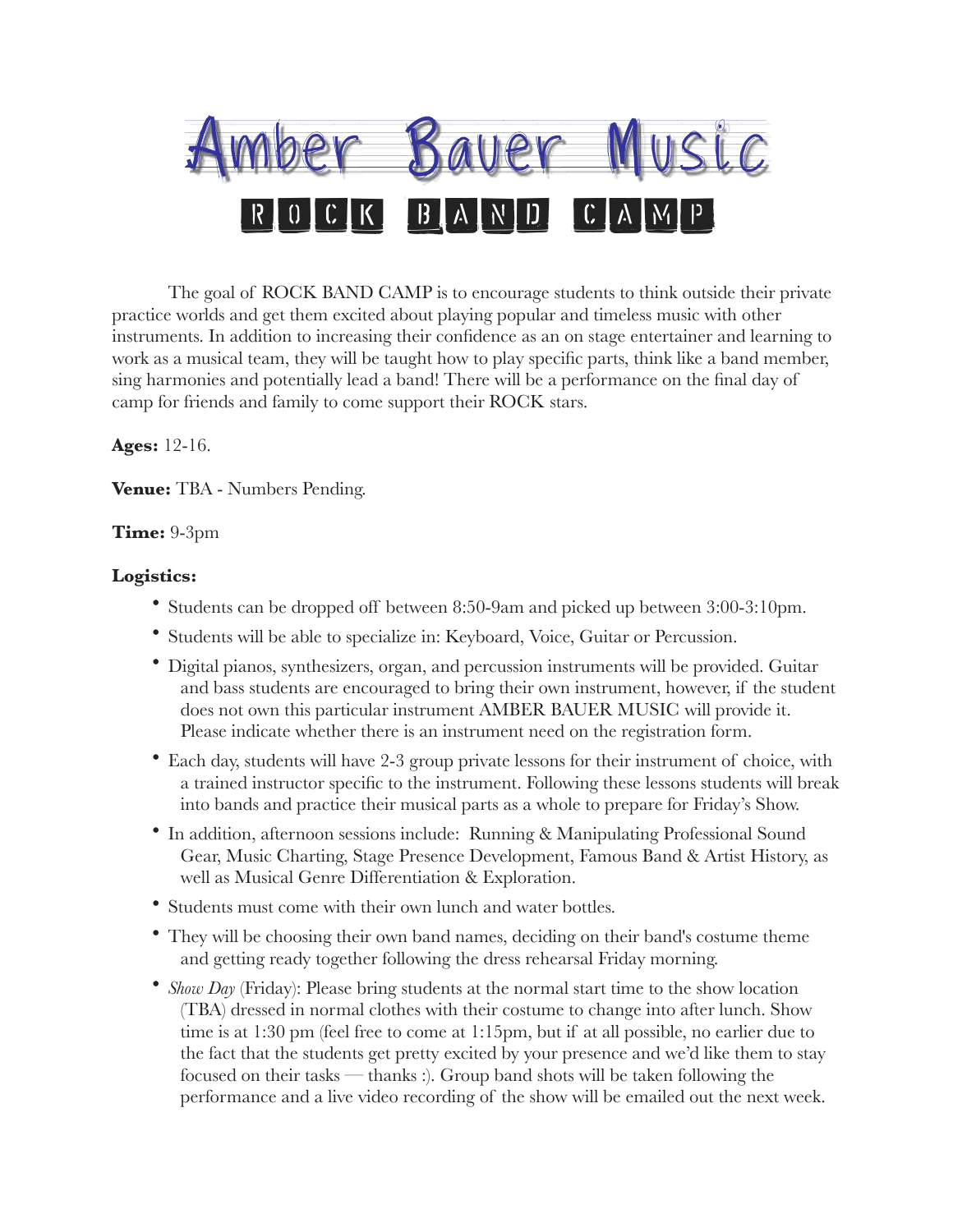

The goal of ROCK BAND CAMP is to encourage students to think outside their private practice worlds and get them excited about playing popular and timeless music with other instruments. In addition to increasing their confidence as an on stage entertainer and learning to work as a musical team, they will be taught how to play specific parts, think like a band member, sing harmonies and potentially lead a band! There will be a performance on the final day of camp for friends and family to come support their ROCK stars.

## **Ages:** 12-16.

**Venue:** TBA - Numbers Pending.

## **Time:** 9-3pm

## **Logistics:**

- Students can be dropped off between 8:50-9am and picked up between 3:00-3:10pm.
- Students will be able to specialize in: Keyboard, Voice, Guitar or Percussion.
- Digital pianos, synthesizers, organ, and percussion instruments will be provided. Guitar and bass students are encouraged to bring their own instrument, however, if the student does not own this particular instrument AMBER BAUER MUSIC will provide it. Please indicate whether there is an instrument need on the registration form.
- Each day, students will have 2-3 group private lessons for their instrument of choice, with a trained instructor specific to the instrument. Following these lessons students will break into bands and practice their musical parts as a whole to prepare for Friday's Show.
- In addition, afternoon sessions include: Running & Manipulating Professional Sound Gear, Music Charting, Stage Presence Development, Famous Band & Artist History, as well as Musical Genre Differentiation & Exploration.
- Students must come with their own lunch and water bottles.
- They will be choosing their own band names, deciding on their band's costume theme and getting ready together following the dress rehearsal Friday morning.
- *Show Day* (Friday): Please bring students at the normal start time to the show location (TBA) dressed in normal clothes with their costume to change into after lunch. Show time is at 1:30 pm (feel free to come at 1:15pm, but if at all possible, no earlier due to the fact that the students get pretty excited by your presence and we'd like them to stay focused on their tasks — thanks :). Group band shots will be taken following the performance and a live video recording of the show will be emailed out the next week.